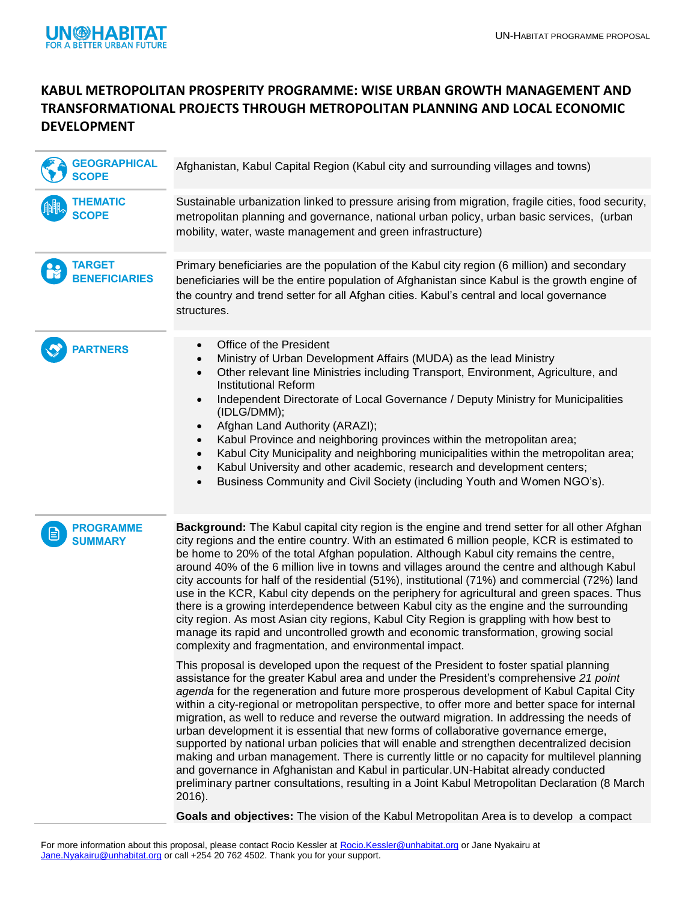

## **KABUL METROPOLITAN PROSPERITY PROGRAMME: WISE URBAN GROWTH MANAGEMENT AND TRANSFORMATIONAL PROJECTS THROUGH METROPOLITAN PLANNING AND LOCAL ECONOMIC DEVELOPMENT**

| <b>GEOGRAPHICAL</b><br><b>SCOPE</b> | Afghanistan, Kabul Capital Region (Kabul city and surrounding villages and towns)                                                                                                                                                                                                                                                                                                                                                                                                                                                                                                                                                                                                                                                                                                                                                                                                                                                                                          |
|-------------------------------------|----------------------------------------------------------------------------------------------------------------------------------------------------------------------------------------------------------------------------------------------------------------------------------------------------------------------------------------------------------------------------------------------------------------------------------------------------------------------------------------------------------------------------------------------------------------------------------------------------------------------------------------------------------------------------------------------------------------------------------------------------------------------------------------------------------------------------------------------------------------------------------------------------------------------------------------------------------------------------|
| <b>THEMATIC</b><br><b>SCOPE</b>     | Sustainable urbanization linked to pressure arising from migration, fragile cities, food security,<br>metropolitan planning and governance, national urban policy, urban basic services, (urban<br>mobility, water, waste management and green infrastructure)                                                                                                                                                                                                                                                                                                                                                                                                                                                                                                                                                                                                                                                                                                             |
| TARGET<br><b>BENEFICIARIES</b>      | Primary beneficiaries are the population of the Kabul city region (6 million) and secondary<br>beneficiaries will be the entire population of Afghanistan since Kabul is the growth engine of<br>the country and trend setter for all Afghan cities. Kabul's central and local governance<br>structures.                                                                                                                                                                                                                                                                                                                                                                                                                                                                                                                                                                                                                                                                   |
| <b>ARTNERS</b>                      | Office of the President<br>$\bullet$<br>Ministry of Urban Development Affairs (MUDA) as the lead Ministry<br>$\bullet$<br>Other relevant line Ministries including Transport, Environment, Agriculture, and<br>$\bullet$<br><b>Institutional Reform</b><br>Independent Directorate of Local Governance / Deputy Ministry for Municipalities<br>$\bullet$<br>(IDLG/DMM);<br>Afghan Land Authority (ARAZI);<br>$\bullet$<br>Kabul Province and neighboring provinces within the metropolitan area;<br>$\bullet$<br>Kabul City Municipality and neighboring municipalities within the metropolitan area;<br>$\bullet$<br>Kabul University and other academic, research and development centers;<br>$\bullet$<br>Business Community and Civil Society (including Youth and Women NGO's).<br>$\bullet$                                                                                                                                                                          |
| PROGRAMME<br><b>SUMMARY</b>         | Background: The Kabul capital city region is the engine and trend setter for all other Afghan<br>city regions and the entire country. With an estimated 6 million people, KCR is estimated to<br>be home to 20% of the total Afghan population. Although Kabul city remains the centre,<br>around 40% of the 6 million live in towns and villages around the centre and although Kabul<br>city accounts for half of the residential (51%), institutional (71%) and commercial (72%) land<br>use in the KCR, Kabul city depends on the periphery for agricultural and green spaces. Thus<br>there is a growing interdependence between Kabul city as the engine and the surrounding<br>city region. As most Asian city regions, Kabul City Region is grappling with how best to<br>manage its rapid and uncontrolled growth and economic transformation, growing social<br>complexity and fragmentation, and environmental impact.                                          |
|                                     | This proposal is developed upon the request of the President to foster spatial planning<br>assistance for the greater Kabul area and under the President's comprehensive 21 point<br>agenda for the regeneration and future more prosperous development of Kabul Capital City<br>within a city-regional or metropolitan perspective, to offer more and better space for internal<br>migration, as well to reduce and reverse the outward migration. In addressing the needs of<br>urban development it is essential that new forms of collaborative governance emerge,<br>supported by national urban policies that will enable and strengthen decentralized decision<br>making and urban management. There is currently little or no capacity for multilevel planning<br>and governance in Afghanistan and Kabul in particular. UN-Habitat already conducted<br>preliminary partner consultations, resulting in a Joint Kabul Metropolitan Declaration (8 March<br>2016). |
|                                     | Goals and objectives: The vision of the Kabul Metropolitan Area is to develop a compact                                                                                                                                                                                                                                                                                                                                                                                                                                                                                                                                                                                                                                                                                                                                                                                                                                                                                    |

For more information about this proposal, please contact Rocio Kessler at [Rocio.Kessler@unhabitat.org](mailto:Rocio.Kessler@unhabitat.org) or Jane Nyakairu at [Jane.Nyakairu@unhabitat.org](mailto:Jane.Nyakairu@unhabitat.org) or call +254 20 762 4502. Thank you for your support.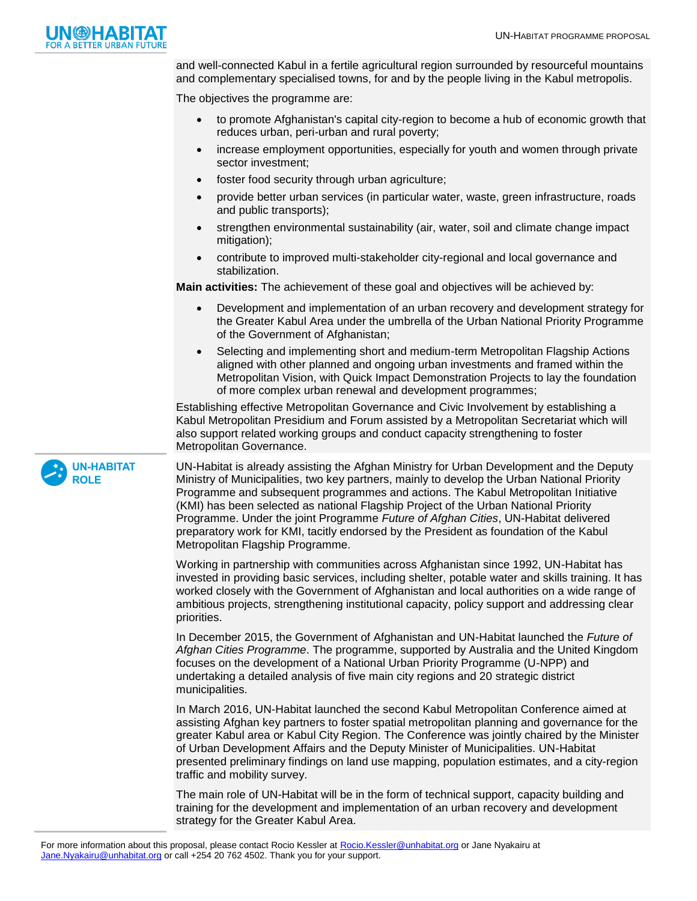

and well-connected Kabul in a fertile agricultural region surrounded by resourceful mountains and complementary specialised towns, for and by the people living in the Kabul metropolis.

The objectives the programme are:

- to promote Afghanistan's capital city-region to become a hub of economic growth that reduces urban, peri-urban and rural poverty;
- increase employment opportunities, especially for youth and women through private sector investment;
- foster food security through urban agriculture;
- provide better urban services (in particular water, waste, green infrastructure, roads and public transports);
- strengthen environmental sustainability (air, water, soil and climate change impact mitigation);
- contribute to improved multi-stakeholder city-regional and local governance and stabilization.

**Main activities:** The achievement of these goal and objectives will be achieved by:

- Development and implementation of an urban recovery and development strategy for the Greater Kabul Area under the umbrella of the Urban National Priority Programme of the Government of Afghanistan;
- Selecting and implementing short and medium-term Metropolitan Flagship Actions aligned with other planned and ongoing urban investments and framed within the Metropolitan Vision, with Quick Impact Demonstration Projects to lay the foundation of more complex urban renewal and development programmes;

Establishing effective Metropolitan Governance and Civic Involvement by establishing a Kabul Metropolitan Presidium and Forum assisted by a Metropolitan Secretariat which will also support related working groups and conduct capacity strengthening to foster Metropolitan Governance.

UN-Habitat is already assisting the Afghan Ministry for Urban Development and the Deputy Ministry of Municipalities, two key partners, mainly to develop the Urban National Priority Programme and subsequent programmes and actions. The Kabul Metropolitan Initiative (KMI) has been selected as national Flagship Project of the Urban National Priority Programme. Under the joint Programme *Future of Afghan Cities*, UN-Habitat delivered preparatory work for KMI, tacitly endorsed by the President as foundation of the Kabul Metropolitan Flagship Programme.

Working in partnership with communities across Afghanistan since 1992, UN-Habitat has invested in providing basic services, including shelter, potable water and skills training. It has worked closely with the Government of Afghanistan and local authorities on a wide range of ambitious projects, strengthening institutional capacity, policy support and addressing clear priorities.

In December 2015, the Government of Afghanistan and UN-Habitat launched the *Future of Afghan Cities Programme*. The programme, supported by Australia and the United Kingdom focuses on the development of a National Urban Priority Programme (U-NPP) and undertaking a detailed analysis of five main city regions and 20 strategic district municipalities.

In March 2016, UN-Habitat launched the second Kabul Metropolitan Conference aimed at assisting Afghan key partners to foster spatial metropolitan planning and governance for the greater Kabul area or Kabul City Region. The Conference was jointly chaired by the Minister of Urban Development Affairs and the Deputy Minister of Municipalities. UN-Habitat presented preliminary findings on land use mapping, population estimates, and a city-region traffic and mobility survey.

The main role of UN-Habitat will be in the form of technical support, capacity building and training for the development and implementation of an urban recovery and development strategy for the Greater Kabul Area.

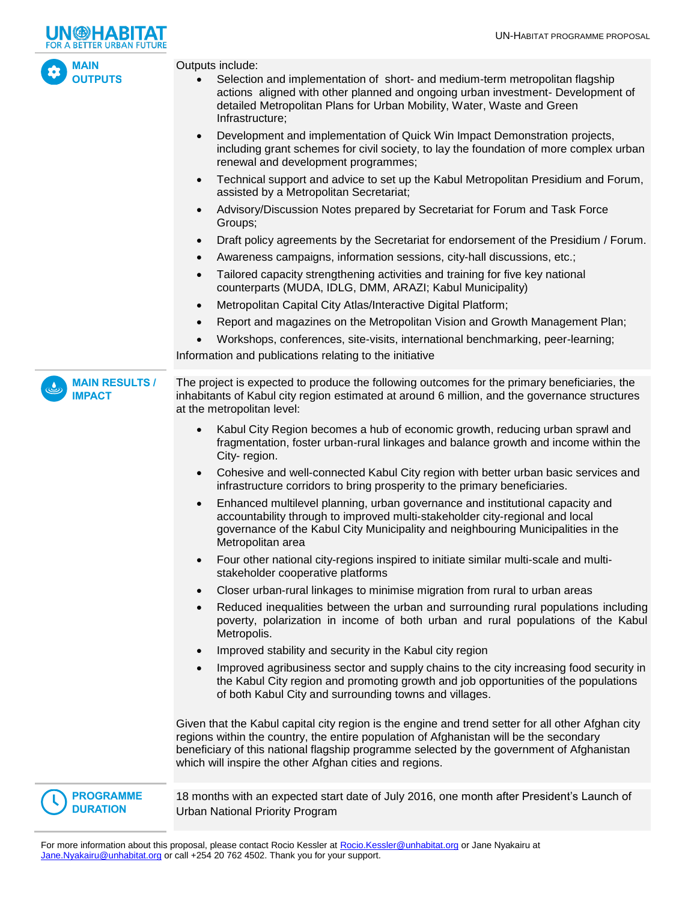



Outputs include:

- Selection and implementation of short- and medium-term metropolitan flagship actions aligned with other planned and ongoing urban investment- Development of detailed Metropolitan Plans for Urban Mobility, Water, Waste and Green Infrastructure;
- Development and implementation of Quick Win Impact Demonstration projects, including grant schemes for civil society, to lay the foundation of more complex urban renewal and development programmes;
- Technical support and advice to set up the Kabul Metropolitan Presidium and Forum, assisted by a Metropolitan Secretariat;
- Advisory/Discussion Notes prepared by Secretariat for Forum and Task Force Groups;
- Draft policy agreements by the Secretariat for endorsement of the Presidium / Forum.
- Awareness campaigns, information sessions, city-hall discussions, etc.;
- Tailored capacity strengthening activities and training for five key national counterparts (MUDA, IDLG, DMM, ARAZI; Kabul Municipality)
- Metropolitan Capital City Atlas/Interactive Digital Platform;
- Report and magazines on the Metropolitan Vision and Growth Management Plan;
- Workshops, conferences, site-visits, international benchmarking, peer-learning;

Information and publications relating to the initiative

The project is expected to produce the following outcomes for the primary beneficiaries, the inhabitants of Kabul city region estimated at around 6 million, and the governance structures at the metropolitan level: **MAIN RESULTS / IMPACT**

- Kabul City Region becomes a hub of economic growth, reducing urban sprawl and fragmentation, foster urban-rural linkages and balance growth and income within the City- region.
- Cohesive and well-connected Kabul City region with better urban basic services and infrastructure corridors to bring prosperity to the primary beneficiaries.
- Enhanced multilevel planning, urban governance and institutional capacity and accountability through to improved multi-stakeholder city-regional and local governance of the Kabul City Municipality and neighbouring Municipalities in the Metropolitan area
- Four other national city-regions inspired to initiate similar multi-scale and multistakeholder cooperative platforms
- Closer urban-rural linkages to minimise migration from rural to urban areas
- Reduced inequalities between the urban and surrounding rural populations including poverty, polarization in income of both urban and rural populations of the Kabul Metropolis.
- Improved stability and security in the Kabul city region
- Improved agribusiness sector and supply chains to the city increasing food security in the Kabul City region and promoting growth and job opportunities of the populations of both Kabul City and surrounding towns and villages.

Given that the Kabul capital city region is the engine and trend setter for all other Afghan city regions within the country, the entire population of Afghanistan will be the secondary beneficiary of this national flagship programme selected by the government of Afghanistan which will inspire the other Afghan cities and regions.



18 months with an expected start date of July 2016, one month after President's Launch of Urban National Priority Program